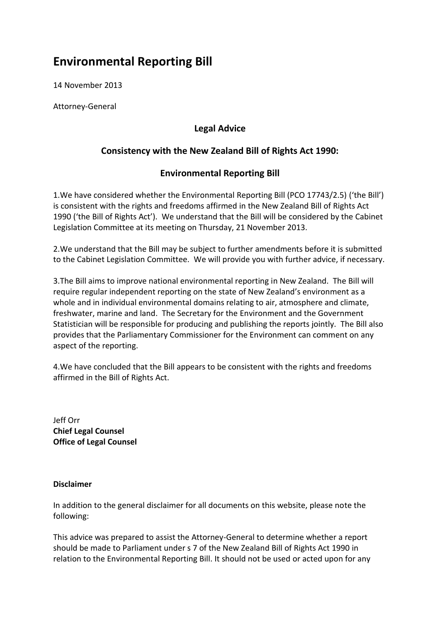# **Environmental Reporting Bill**

14 November 2013

Attorney-General

## **Legal Advice**

### **Consistency with the New Zealand Bill of Rights Act 1990:**

#### **Environmental Reporting Bill**

1.We have considered whether the Environmental Reporting Bill (PCO 17743/2.5) ('the Bill') is consistent with the rights and freedoms affirmed in the New Zealand Bill of Rights Act 1990 ('the Bill of Rights Act'). We understand that the Bill will be considered by the Cabinet Legislation Committee at its meeting on Thursday, 21 November 2013.

2.We understand that the Bill may be subject to further amendments before it is submitted to the Cabinet Legislation Committee. We will provide you with further advice, if necessary.

3.The Bill aims to improve national environmental reporting in New Zealand. The Bill will require regular independent reporting on the state of New Zealand's environment as a whole and in individual environmental domains relating to air, atmosphere and climate, freshwater, marine and land. The Secretary for the Environment and the Government Statistician will be responsible for producing and publishing the reports jointly. The Bill also provides that the Parliamentary Commissioner for the Environment can comment on any aspect of the reporting.

4.We have concluded that the Bill appears to be consistent with the rights and freedoms affirmed in the Bill of Rights Act.

Jeff Orr **Chief Legal Counsel Office of Legal Counsel**

#### **Disclaimer**

In addition to the general disclaimer for all documents on this website, please note the following:

This advice was prepared to assist the Attorney-General to determine whether a report should be made to Parliament under s 7 of the New Zealand Bill of Rights Act 1990 in relation to the Environmental Reporting Bill. It should not be used or acted upon for any